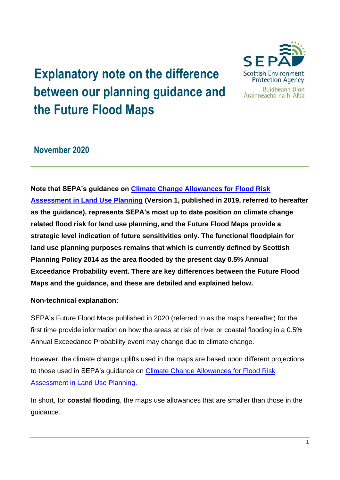# **Explanatory note on the difference between our planning guidance and the Future Flood Maps**



# **November 2020**

**Note that SEPA's guidance on [Climate Change Allowances for Flood Risk](https://www.sepa.org.uk/media/426913/lups_cc1.pdf)  [Assessment in Land Use Planning](https://www.sepa.org.uk/media/426913/lups_cc1.pdf) (Version 1, published in 2019, referred to hereafter as the guidance), represents SEPA's most up to date position on climate change related flood risk for land use planning, and the Future Flood Maps provide a strategic level indication of future sensitivities only. The functional floodplain for land use planning purposes remains that which is currently defined by Scottish Planning Policy 2014 as the area flooded by the present day 0.5% Annual Exceedance Probability event. There are key differences between the Future Flood Maps and the guidance, and these are detailed and explained below.**

# **Non-technical explanation:**

SEPA's Future Flood Maps published in 2020 (referred to as the maps hereafter) for the first time provide information on how the areas at risk of river or coastal flooding in a 0.5% Annual Exceedance Probability event may change due to climate change.

However, the climate change uplifts used in the maps are based upon different projections to those used in SEPA's guidance on [Climate Change Allowances for Flood Risk](https://www.sepa.org.uk/media/426913/lups_cc1.pdf)  [Assessment in Land Use Planning.](https://www.sepa.org.uk/media/426913/lups_cc1.pdf)

In short, for **coastal flooding**, the maps use allowances that are smaller than those in the guidance.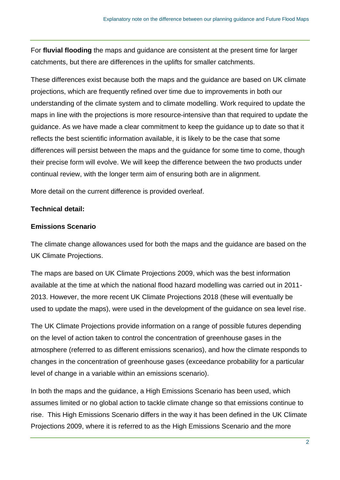For **fluvial flooding** the maps and guidance are consistent at the present time for larger catchments, but there are differences in the uplifts for smaller catchments.

These differences exist because both the maps and the guidance are based on UK climate projections, which are frequently refined over time due to improvements in both our understanding of the climate system and to climate modelling. Work required to update the maps in line with the projections is more resource-intensive than that required to update the guidance. As we have made a clear commitment to keep the guidance up to date so that it reflects the best scientific information available, it is likely to be the case that some differences will persist between the maps and the guidance for some time to come, though their precise form will evolve. We will keep the difference between the two products under continual review, with the longer term aim of ensuring both are in alignment.

More detail on the current difference is provided overleaf.

#### **Technical detail:**

#### **Emissions Scenario**

The climate change allowances used for both the maps and the guidance are based on the UK Climate Projections.

The maps are based on UK Climate Projections 2009, which was the best information available at the time at which the national flood hazard modelling was carried out in 2011- 2013. However, the more recent UK Climate Projections 2018 (these will eventually be used to update the maps), were used in the development of the guidance on sea level rise.

The UK Climate Projections provide information on a range of possible futures depending on the level of action taken to control the concentration of greenhouse gases in the atmosphere (referred to as different emissions scenarios), and how the climate responds to changes in the concentration of greenhouse gases (exceedance probability for a particular level of change in a variable within an emissions scenario).

In both the maps and the guidance, a High Emissions Scenario has been used, which assumes limited or no global action to tackle climate change so that emissions continue to rise. This High Emissions Scenario differs in the way it has been defined in the UK Climate Projections 2009, where it is referred to as the High Emissions Scenario and the more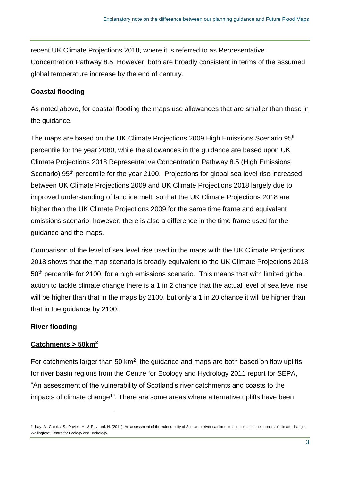recent UK Climate Projections 2018, where it is referred to as Representative Concentration Pathway 8.5. However, both are broadly consistent in terms of the assumed global temperature increase by the end of century.

#### **Coastal flooding**

As noted above, for coastal flooding the maps use allowances that are smaller than those in the guidance.

The maps are based on the UK Climate Projections 2009 High Emissions Scenario 95th percentile for the year 2080, while the allowances in the guidance are based upon UK Climate Projections 2018 Representative Concentration Pathway 8.5 (High Emissions Scenario) 95<sup>th</sup> percentile for the year 2100. Projections for global sea level rise increased between UK Climate Projections 2009 and UK Climate Projections 2018 largely due to improved understanding of land ice melt, so that the UK Climate Projections 2018 are higher than the UK Climate Projections 2009 for the same time frame and equivalent emissions scenario, however, there is also a difference in the time frame used for the guidance and the maps.

Comparison of the level of sea level rise used in the maps with the UK Climate Projections 2018 shows that the map scenario is broadly equivalent to the UK Climate Projections 2018 50<sup>th</sup> percentile for 2100, for a high emissions scenario. This means that with limited global action to tackle climate change there is a 1 in 2 chance that the actual level of sea level rise will be higher than that in the maps by 2100, but only a 1 in 20 chance it will be higher than that in the guidance by 2100.

# **River flooding**

# **Catchments > 50km<sup>2</sup>**

For catchments larger than 50  $km^2$ , the guidance and maps are both based on flow uplifts for river basin regions from the Centre for Ecology and Hydrology 2011 report for SEPA, "An assessment of the vulnerability of Scotland's river catchments and coasts to the impacts of climate change<sup>1</sup>". There are some areas where alternative uplifts have been

<sup>1</sup> Kay, A., Crooks, S., Davies, H., & Reynard, N. (2011). An assessment of the vulnerability of Scotland's river catchments and coasts to the impacts of climate change. Wallingford: Centre for Ecology and Hydrology.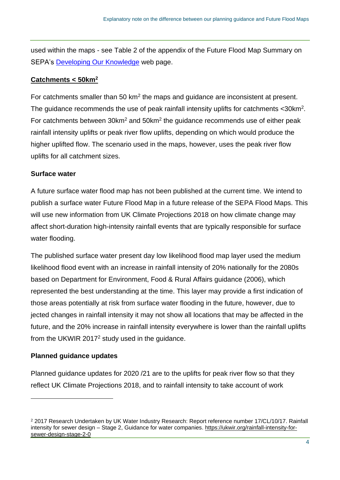used within the maps - see Table 2 of the appendix of the Future Flood Map Summary on SEPA's [Developing Our Knowledge](https://www.sepa.org.uk/environment/water/flooding/developing-our-knowledge/#Floodmaps) web page.

#### **Catchments < 50km<sup>2</sup>**

For catchments smaller than 50  $km<sup>2</sup>$  the maps and guidance are inconsistent at present. The guidance recommends the use of peak rainfall intensity uplifts for catchments <30km<sup>2</sup>. For catchments between  $30 \text{km}^2$  and  $50 \text{km}^2$  the guidance recommends use of either peak rainfall intensity uplifts or peak river flow uplifts, depending on which would produce the higher uplifted flow. The scenario used in the maps, however, uses the peak river flow uplifts for all catchment sizes.

#### **Surface water**

A future surface water flood map has not been published at the current time. We intend to publish a surface water Future Flood Map in a future release of the SEPA Flood Maps. This will use new information from UK Climate Projections 2018 on how climate change may affect short-duration high-intensity rainfall events that are typically responsible for surface water flooding.

The published surface water present day low likelihood flood map layer used the medium likelihood flood event with an increase in rainfall intensity of 20% nationally for the 2080s based on Department for Environment, Food & Rural Affairs guidance (2006), which represented the best understanding at the time. This layer may provide a first indication of those areas potentially at risk from surface water flooding in the future, however, due to jected changes in rainfall intensity it may not show all locations that may be affected in the future, and the 20% increase in rainfall intensity everywhere is lower than the rainfall uplifts from the UKWIR 2017<sup>2</sup> study used in the guidance.

# **Planned guidance updates**

Planned guidance updates for 2020 /21 are to the uplifts for peak river flow so that they reflect UK Climate Projections 2018, and to rainfall intensity to take account of work

<sup>2</sup> 2017 Research Undertaken by UK Water Industry Research: Report reference number 17/CL/10/17. Rainfall intensity for sewer design – Stage 2, Guidance for water companies. https://ukwir.org/rainfall-intensity-forsewer-design-stage-2-0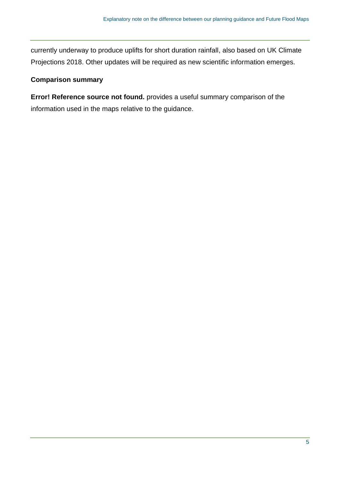currently underway to produce uplifts for short duration rainfall, also based on UK Climate Projections 2018. Other updates will be required as new scientific information emerges.

# **Comparison summary**

**Error! Reference source not found.** provides a useful summary comparison of the information used in the maps relative to the guidance.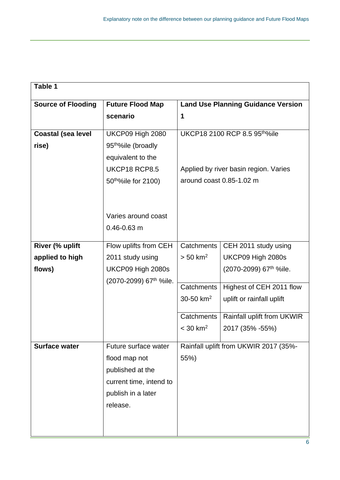| Table 1                   |                                       |                                           |                                                       |  |
|---------------------------|---------------------------------------|-------------------------------------------|-------------------------------------------------------|--|
| <b>Source of Flooding</b> | <b>Future Flood Map</b>               | <b>Land Use Planning Guidance Version</b> |                                                       |  |
|                           | scenario                              | 1                                         |                                                       |  |
|                           |                                       |                                           |                                                       |  |
| <b>Coastal (sea level</b> | UKCP09 High 2080                      | UKCP18 2100 RCP 8.5 95th%ile              |                                                       |  |
| rise)                     | 95 <sup>th%</sup> ile (broadly        |                                           |                                                       |  |
|                           | equivalent to the                     |                                           |                                                       |  |
|                           | UKCP18 RCP8.5                         |                                           | Applied by river basin region. Varies                 |  |
|                           | 50 <sup>tho</sup> %ile for 2100)      | around coast 0.85-1.02 m                  |                                                       |  |
|                           |                                       |                                           |                                                       |  |
|                           |                                       |                                           |                                                       |  |
|                           | Varies around coast                   |                                           |                                                       |  |
|                           | $0.46 - 0.63$ m                       |                                           |                                                       |  |
|                           |                                       |                                           |                                                       |  |
| River (% uplift           | Flow uplifts from CEH                 |                                           | CEH 2011 study using                                  |  |
| applied to high           | 2011 study using                      | $> 50$ km <sup>2</sup>                    | UKCP09 High 2080s                                     |  |
| flows)                    | UKCP09 High 2080s                     |                                           | (2070-2099) 67 <sup>th</sup> %ile.                    |  |
|                           | (2070-2099) 67 <sup>th</sup> %ile.    |                                           |                                                       |  |
|                           |                                       |                                           |                                                       |  |
|                           |                                       |                                           |                                                       |  |
|                           |                                       | Catchments                                | Rainfall uplift from UKWIR                            |  |
|                           |                                       | $<$ 30 km <sup>2</sup>                    | 2017 (35% - 55%)                                      |  |
|                           |                                       |                                           |                                                       |  |
|                           |                                       | Rainfall uplift from UKWIR 2017 (35%-     |                                                       |  |
|                           |                                       | 55%)                                      |                                                       |  |
|                           | published at the                      |                                           |                                                       |  |
|                           | current time, intend to               |                                           |                                                       |  |
|                           | publish in a later                    |                                           |                                                       |  |
|                           | release.                              |                                           |                                                       |  |
|                           |                                       |                                           |                                                       |  |
|                           |                                       |                                           |                                                       |  |
| <b>Surface water</b>      | Future surface water<br>flood map not | Catchments<br>Catchments<br>30-50 $km^2$  | Highest of CEH 2011 flow<br>uplift or rainfall uplift |  |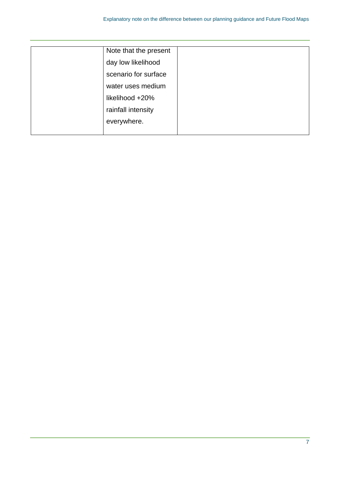| Note that the present |  |
|-----------------------|--|
| day low likelihood    |  |
| scenario for surface  |  |
| water uses medium     |  |
| likelihood +20%       |  |
| rainfall intensity    |  |
| everywhere.           |  |
|                       |  |